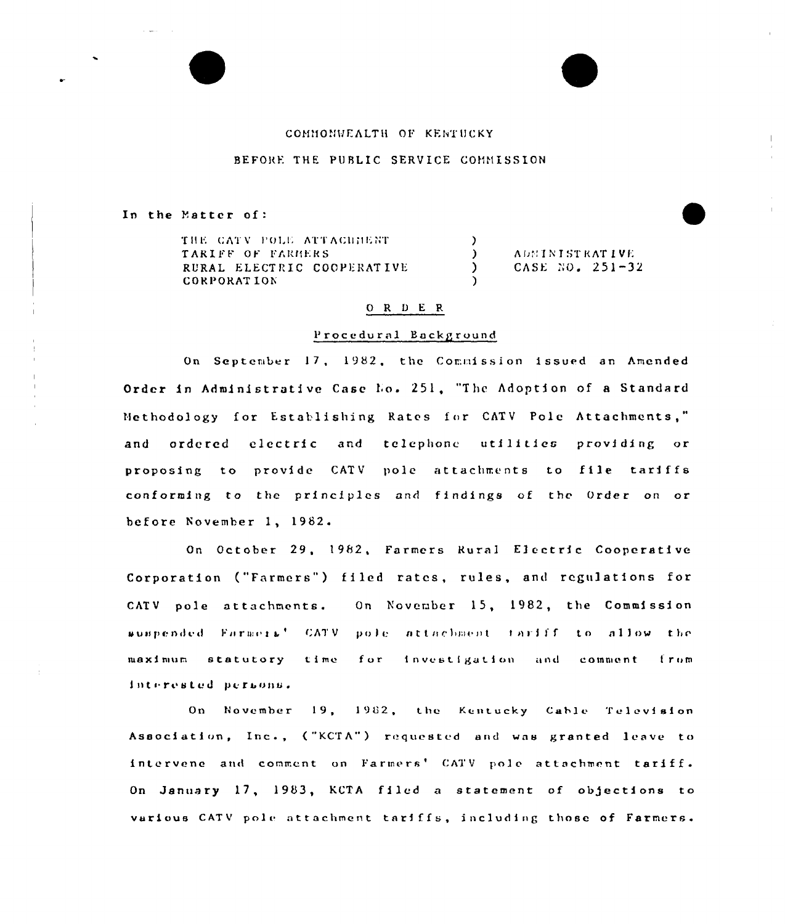# COMMONUEALTH OF KENTHCKY.

# BEFORE THE PUBLIC SERVICE COMMISSION

In the Matter of:

THE CATV POLE ATTACHMENT TARIFF OF FARMERS RURAL ELECTRIC COOPERATIVE CORPORATION  $\frac{2}{3}$ ) ADMINISTRATIVE<br>(ADMINISTRATIVE) CASE NO. 251-32 )

### 0 R <sup>D</sup> E R

### Procedural Background

On September 17, 1982, the Commission issued an Amended Order in Administrative Case No. 251, "The Adoption of a Standar Methodology for Establishing Rates for CATV Pole Attachments," and ordered electric and telephone utilities providing or proposing to provide CATV pole attachments to file tariffs conforming to the principles and findings of the Order on or before November 1, 1982

October 29, 1982, Farmers Rural Electric Cooperative Corporation ("Farmers") filed rates, rules, and regulations for CATV pole attachments. On November 15, 1982, the Commission suspended Farmers' CATV pole attachment fariff to allow the maximum statutory time interested persons. for investigation and comment from

On November 19, 1982, the Kentucky Cable Television Association, Inc., ("KCTA") requested and was granted leave to intervene and comment on Farmers' CATV pole attachment tariff. On January 17, 1983, KCTA filed a statement of objections to various CATV pole attachment tariffs, including those of Farmers.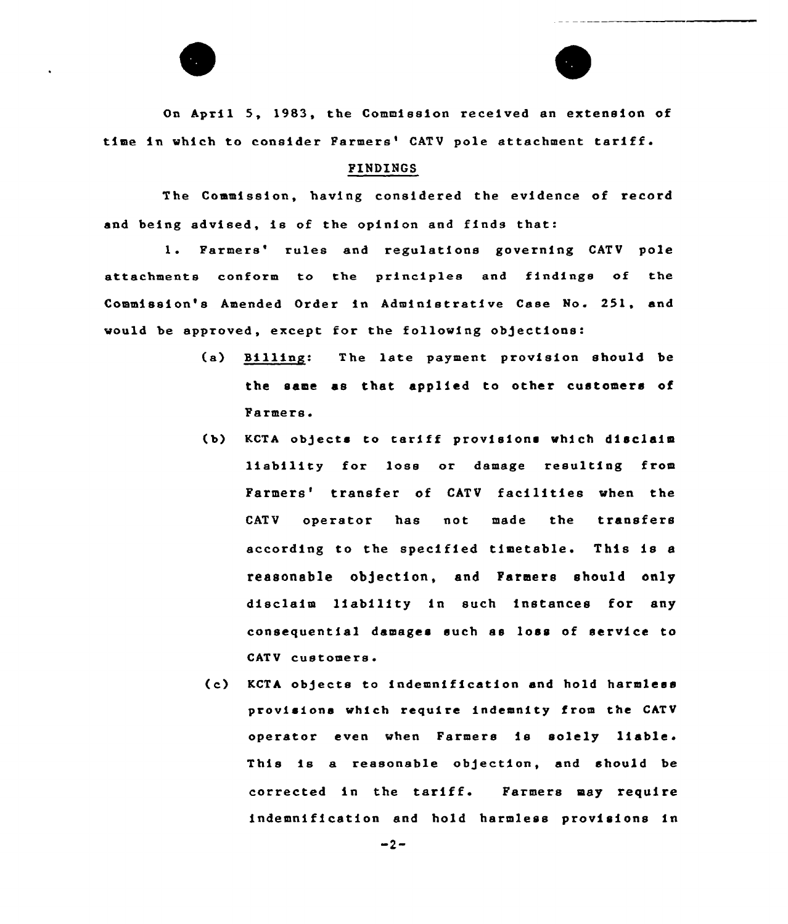

On April 5, 1983, the Commission received an extension of time in which to consider Farmers' CATV pole attachment tariff.

### FINDINGS

The Commission, having considered the evidence of record and being advised, is of the opinion and finds that:

1. Farmers' rules and regulations governing CATV pole attachments conform to the principles and findings of the Commission's Amended Order in Administrative Case No. 251, and would be approved, except for the following objections:

- (a) Billing: The late payment provision should be the same as that applied to other customers of Parmers.
- (b) KCTA ob]ects to tariff provisions which disclaim liability for loss or damage resulting from Farmers' transfer of CATV facilities when the CATV operator has not made the transfers according to the specified timetable. This is <sup>a</sup> reasonable ob)ection, and Farmers should only disclaim liability in such instances for any consequential damages such as loss of service to CATV customers
- (c) KCTA objects to indemnification and hold harmless provisions which require indemnity from the CATV operator even when Farmers is solely liable. This is a reasonable objection, and should be corrected in the tariff. Farmers may require indemnification and hold harmless provisions in

 $-2-$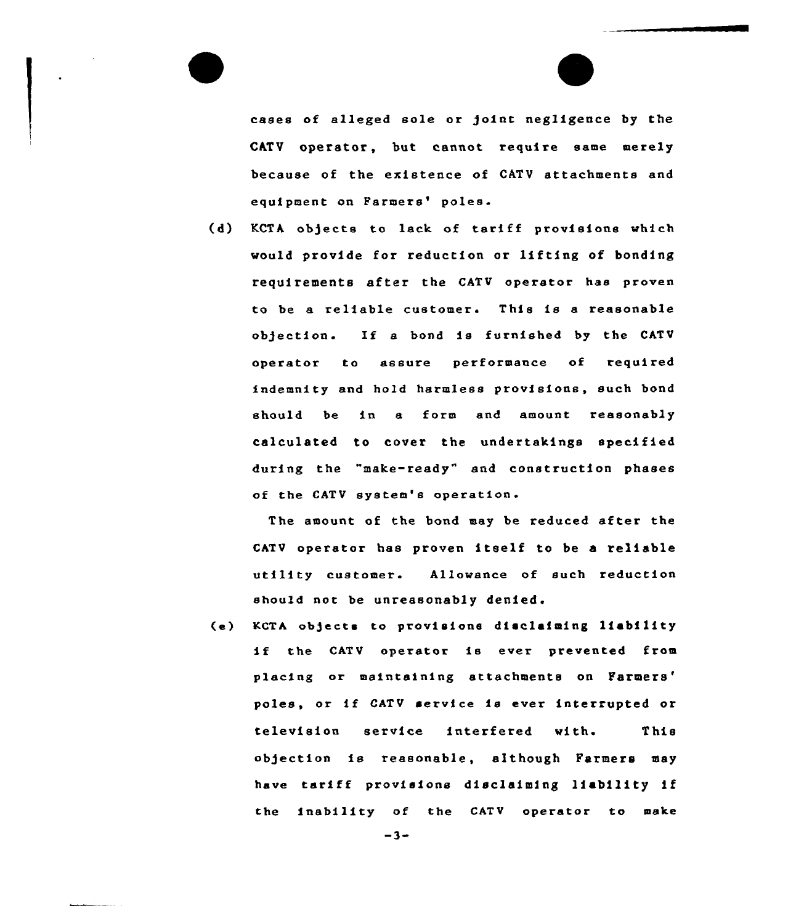cases of alleged sole or joint negligence by the ChTV operator, but cannot require same merely because of the existence of CATV attachments and equipment on Farmers' poles.

(d) KCTA ob)ects to lack of tariff provisions which would provide for reduction or lifting of bonding requirements after the CATV operator has proven to be a reliable customer. This is <sup>a</sup> reasonable objection. If a bond is furnished by the CATV operator to assure performance of required indemnity and hold harmless provisions, such bond should be in a form and amount reasonably calculated to cover the undertakings specified during the "make-ready" and construction phases of the CATV system's operation.

The amount of the bond may be reduced after the CATV operator has proven itself to be <sup>a</sup> reliable utility customer. Allowance of such reduction should not be unreasonably denied.

(e) KCTA ob)ects to provisions disclaiming liability if the CATV operator ie ever prevented from placing or maintaining attachments on Farmers' poles, or if CATV service is ever interrupted or televisian service. interfered with. This objection is reasonable, although Farmers may have tariff provisions disclaiming liability if the inability of the CATV operator to make

 $-3-$ 

المستنب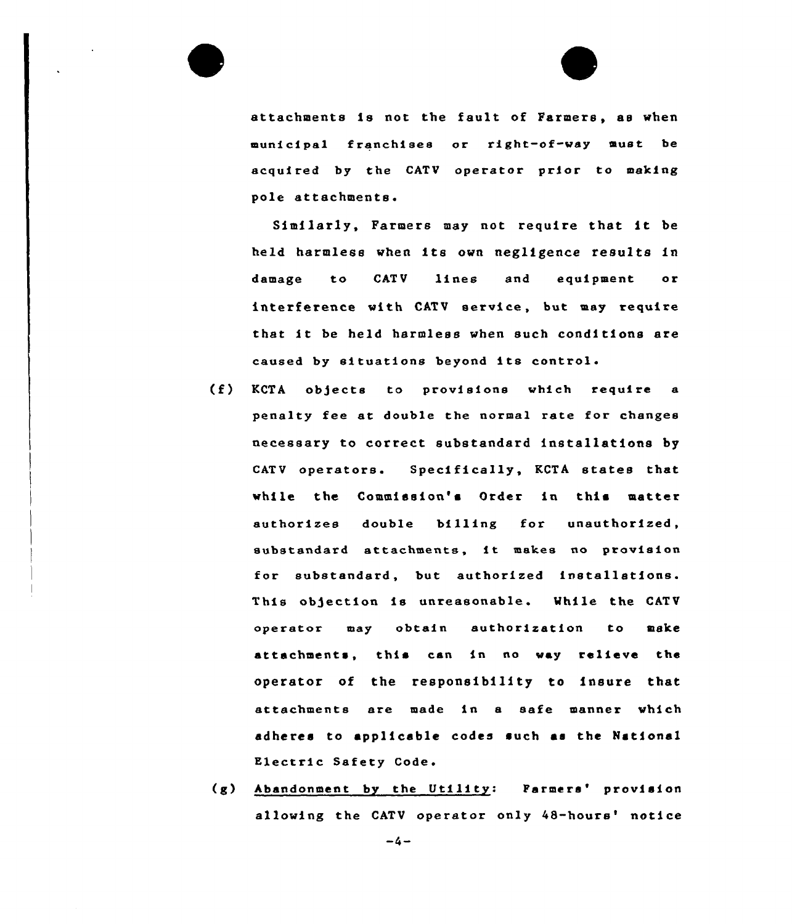

attachments is not the fault of Farmers, as when municipal franchises or right-of-way must be acquired by the CATV operator prior to making pole attachments.

Similarly, Farmers may not require that it be held harmless when its own negligence results in damage to CATV lines and equipment or interference with CATV service, but may require that it be held harmless when such conditions are caused by situations beyond its control.

- (f) KCTA ob)ects to provisions which require <sup>a</sup> penalty fee at double the normal rate for changes necessary to correct substandard installations by CATV operators. Specifically, KCTA states that while the Commission'e Order in this matter authorizes double billing for unauthorized, substandard attachments, it makes no provision for substandard, but authorized installations. This objection is unreasonable. While the CATV operator may obtain authorization to make attachments, this can in no way relieve the operator of the responsibility to insure that attachments are made in a safe manner which adheres to applicable codes such as the National E1ectric Safety Code.
- (g) Abandonment by the Utility: Farmers' provision allowing the CATV operator only 48-hours' notice

 $-4-$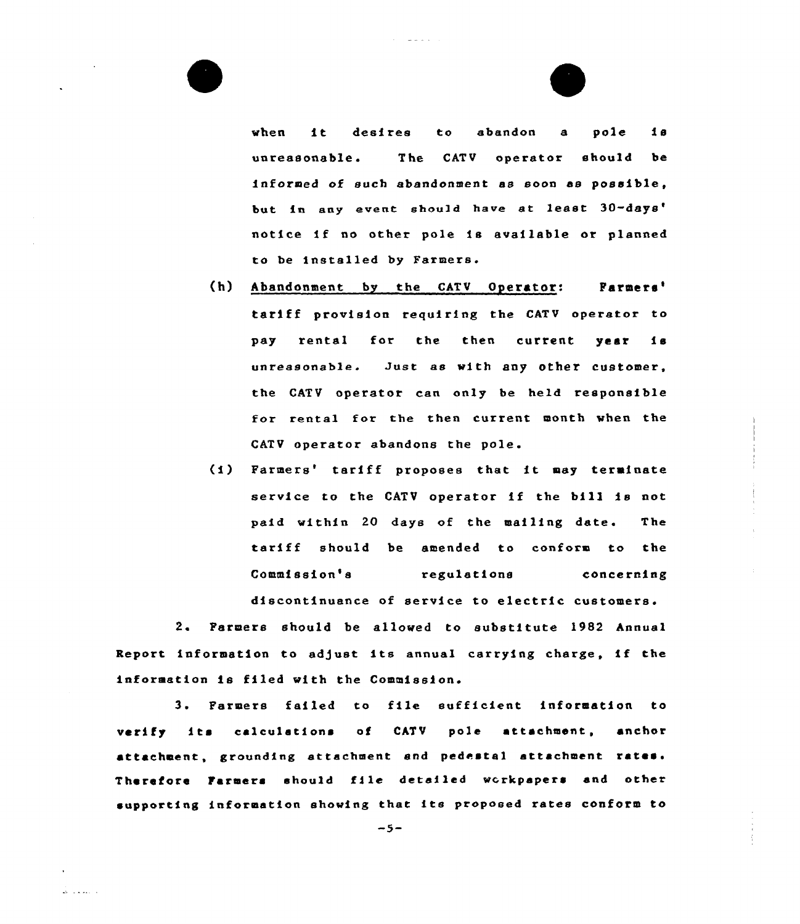when it desires to abandon <sup>a</sup> pole is unreasonable. The CATV operator should be informed of such abandonment as soon as possible, but in any event should have at least 30-days' notice if no other pole is available or planned to be installed by Farmers.

- (h) Abandonment by the CATV Operator: Farmers' tariff provision requiring the CATV operator to pay rental for the then current year is unreasonable. Just as with any other customer, the CATV operator can only be held responsible for rental for the then current month when the CATV operator abandons the pole.
- (1) Farmers' tariff proposes that it may terminate service to the CATV operator if the bill is not paid within 20 days of the mailing date. The tariff should be amended to conform to the Commission's regulations concerning discontinuance of service to electric customers.

<sup>2</sup> Parmers should be allowed to substitute 1982 Annual Report information to ad)ust its annual carry1ng charge, if the information is filed with the Commission.

<sup>3</sup> <sup>~</sup> Farmers failed to file sufficient information to verify its calculations of CATV pole attachment, anchor attachment, grounding attachment and pedestal attachment rates. Therefore Farmers should f11e detailed wcrkpapers and other supporting information showing that its proposed rates conform to

 $-5-$ 

والمعتمرة لطا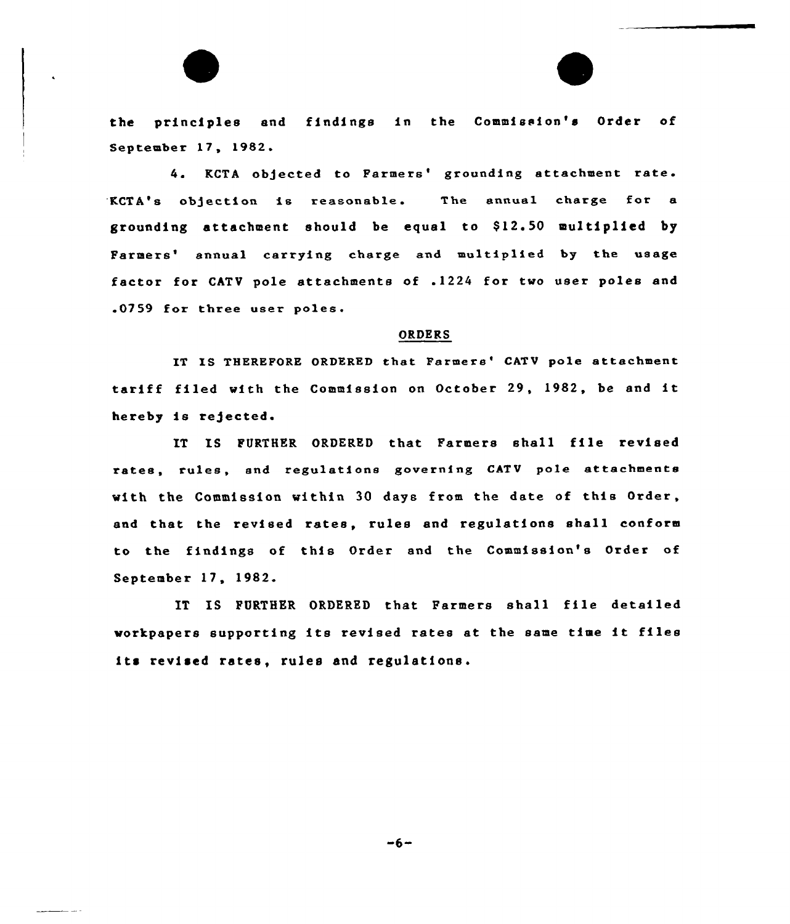the principles and findings in the Commission's Order of September 17, 1982.

4. KCTA objected to Farmers' grounding attachment rate. KCTA's objection is reasonable. The annual charge for a grounding attachment should be equal to \$12.50 multiplied by Farmers' annual carrying charge and multiplied by the usage factor for CATV pole attachments of .1224 for two user poles and 0759 for three user poles.

## ORDERS

IT IS THEREFORE ORDERED that Farmers' CATV pole attachment tariff filed with the Commission on October 29, 1982, be and it hereby is rejected.

IT IS PURTHER ORDERED that Farmers shall file revised rates, rules, and regulations governing CATV pole attachments with the Commission within 30 days from the date of this Order, and that the revised rates, rules and regulations shall conform to the findings of this Order and the Commission's Order of September 17, 1982.

IT IS FURTHER ORDERED that Pazmers shall file detailed workpapers supporting its revised rates at the same time it files its revised rates, rules and regulations.

 $-6-$